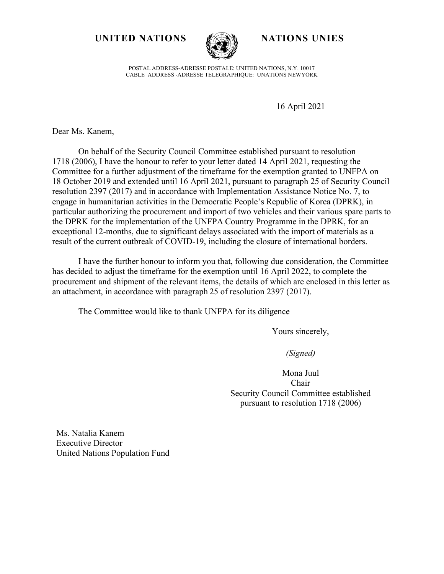### UNITED NATIONS **NATIONS NATIONS** UNIES



POSTAL ADDRESS-ADRESSE POSTALE: UNITED NATIONS, N.Y. 10017 CABLE ADDRESS -ADRESSE TELEGRAPHIQUE: UNATIONS NEWYORK

16 April 2021

Dear Ms. Kanem,

On behalf of the Security Council Committee established pursuant to resolution 1718 (2006), I have the honour to refer to your letter dated 14 April 2021, requesting the Committee for a further adjustment of the timeframe for the exemption granted to UNFPA on 18 October 2019 and extended until 16 April 2021, pursuant to paragraph 25 of Security Council resolution 2397 (2017) and in accordance with Implementation Assistance Notice No. 7, to engage in humanitarian activities in the Democratic People's Republic of Korea (DPRK), in particular authorizing the procurement and import of two vehicles and their various spare parts to the DPRK for the implementation of the UNFPA Country Programme in the DPRK, for an exceptional 12-months, due to significant delays associated with the import of materials as a result of the current outbreak of COVID-19, including the closure of international borders.

I have the further honour to inform you that, following due consideration, the Committee has decided to adjust the timeframe for the exemption until 16 April 2022, to complete the procurement and shipment of the relevant items, the details of which are enclosed in this letter as an attachment, in accordance with paragraph 25 of resolution 2397 (2017).

The Committee would like to thank UNFPA for its diligence

Yours sincerely,

*(Signed)*

Mona Juul Chair Security Council Committee established pursuant to resolution 1718 (2006)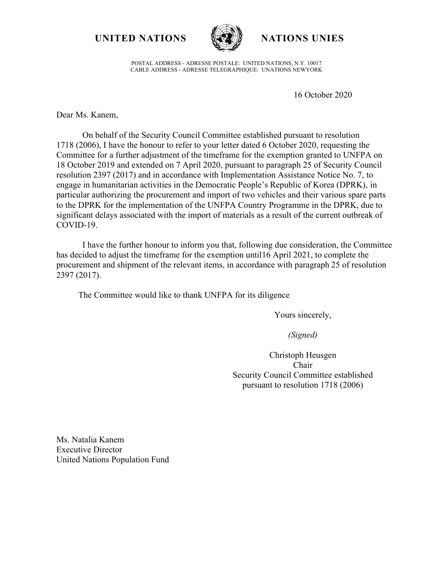## **UNITED NATIONS NATIONS UNIES**



POSTAL ADDRESS - ADRESSE POSTALE: UNITED NATIONS, N.Y. 10017 CABLE ADDRESS - ADRESSE TELEGRAPHIQUE: UNATIONS NEWYORK

16 October 2020

Dear Ms. Kanem,

On behalf of the Security Council Committee established pursuant to resolution 1718 (2006), I have the honour to refer to your letter dated 6 October 2020, requesting the Committee for a further adjustment of the timeframe for the exemption granted to UNFPA on 18 October 2019 and extended on 7 April 2020, pursuant to paragraph 25 of Security Council resolution 2397 (2017) and in accordance with Implementation Assistance Notice No. 7, to engage in humanitarian activities in the Democratic People's Republic of Korea (DPRK), in particular authorizing the procurement and import of two vehicles and their various spare parts to the DPRK for the implementation of the UNFPA Country Programme in the DPRK, due to significant delays associated with the import of materials as a result of the current outbreak of COVID-19.

I have the further honour to inform you that, following due consideration, the Committee has decided to adjust the timeframe for the exemption until16 April 2021, to complete the procurement and shipment of the relevant items, in accordance with paragraph 25 of resolution 2397 (2017).

The Committee would like to thank UNFPA for its diligence

Yours sincerely,

*(Signed)*

Christoph Heusgen Chair Security Council Committee established pursuant to resolution 1718 (2006)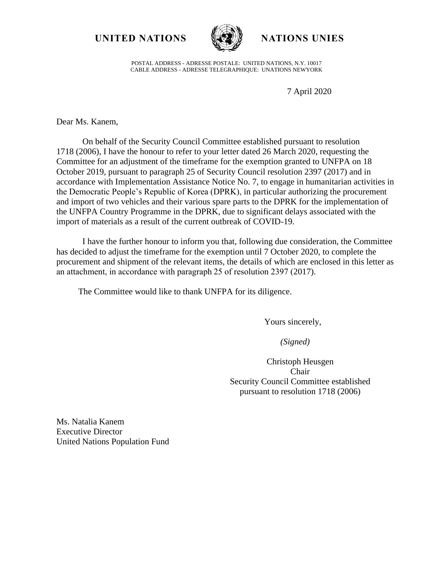### **UNITED NATIONS NATIONS UNIES**



POSTAL ADDRESS - ADRESSE POSTALE: UNITED NATIONS, N.Y. 10017 CABLE ADDRESS - ADRESSE TELEGRAPHIQUE: UNATIONS NEWYORK

7 April 2020

Dear Ms. Kanem,

On behalf of the Security Council Committee established pursuant to resolution 1718 (2006), I have the honour to refer to your letter dated 26 March 2020, requesting the Committee for an adjustment of the timeframe for the exemption granted to UNFPA on 18 October 2019, pursuant to paragraph 25 of Security Council resolution 2397 (2017) and in accordance with Implementation Assistance Notice No. 7, to engage in humanitarian activities in the Democratic People's Republic of Korea (DPRK), in particular authorizing the procurement and import of two vehicles and their various spare parts to the DPRK for the implementation of the UNFPA Country Programme in the DPRK, due to significant delays associated with the import of materials as a result of the current outbreak of COVID-19.

I have the further honour to inform you that, following due consideration, the Committee has decided to adjust the timeframe for the exemption until 7 October 2020, to complete the procurement and shipment of the relevant items, the details of which are enclosed in this letter as an attachment, in accordance with paragraph 25 of resolution 2397 (2017).

The Committee would like to thank UNFPA for its diligence.

Yours sincerely,

 *(Signed)*

Christoph Heusgen Chair Security Council Committee established pursuant to resolution 1718 (2006)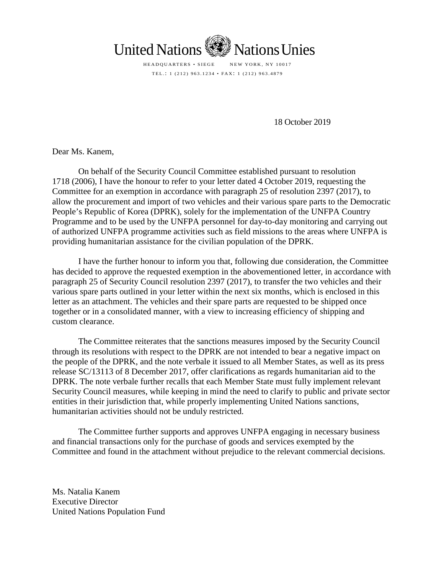

HEADQUARTERS • SIEGE NEW YORK, NY 10017 TEL.: 1 (212) 963.1234 • FAX : 1 (212) 963.4879

18 October 2019

Dear Ms. Kanem,

On behalf of the Security Council Committee established pursuant to resolution 1718 (2006), I have the honour to refer to your letter dated 4 October 2019, requesting the Committee for an exemption in accordance with paragraph 25 of resolution 2397 (2017), to allow the procurement and import of two vehicles and their various spare parts to the Democratic People's Republic of Korea (DPRK), solely for the implementation of the UNFPA Country Programme and to be used by the UNFPA personnel for day-to-day monitoring and carrying out of authorized UNFPA programme activities such as field missions to the areas where UNFPA is providing humanitarian assistance for the civilian population of the DPRK.

I have the further honour to inform you that, following due consideration, the Committee has decided to approve the requested exemption in the abovementioned letter, in accordance with paragraph 25 of Security Council resolution 2397 (2017), to transfer the two vehicles and their various spare parts outlined in your letter within the next six months, which is enclosed in this letter as an attachment. The vehicles and their spare parts are requested to be shipped once together or in a consolidated manner, with a view to increasing efficiency of shipping and custom clearance.

The Committee reiterates that the sanctions measures imposed by the Security Council through its resolutions with respect to the DPRK are not intended to bear a negative impact on the people of the DPRK, and the note verbale it issued to all Member States, as well as its press release SC/13113 of 8 December 2017, offer clarifications as regards humanitarian aid to the DPRK. The note verbale further recalls that each Member State must fully implement relevant Security Council measures, while keeping in mind the need to clarify to public and private sector entities in their jurisdiction that, while properly implementing United Nations sanctions, humanitarian activities should not be unduly restricted.

The Committee further supports and approves UNFPA engaging in necessary business and financial transactions only for the purchase of goods and services exempted by the Committee and found in the attachment without prejudice to the relevant commercial decisions.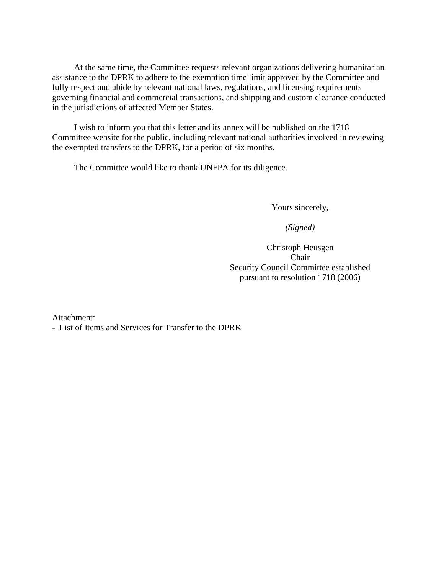At the same time, the Committee requests relevant organizations delivering humanitarian assistance to the DPRK to adhere to the exemption time limit approved by the Committee and fully respect and abide by relevant national laws, regulations, and licensing requirements governing financial and commercial transactions, and shipping and custom clearance conducted in the jurisdictions of affected Member States.

I wish to inform you that this letter and its annex will be published on the 1718 Committee website for the public, including relevant national authorities involved in reviewing the exempted transfers to the DPRK, for a period of six months.

The Committee would like to thank UNFPA for its diligence.

Yours sincerely,

*(Signed)*

Christoph Heusgen Chair Security Council Committee established pursuant to resolution 1718 (2006)

Attachment:

- List of Items and Services for Transfer to the DPRK